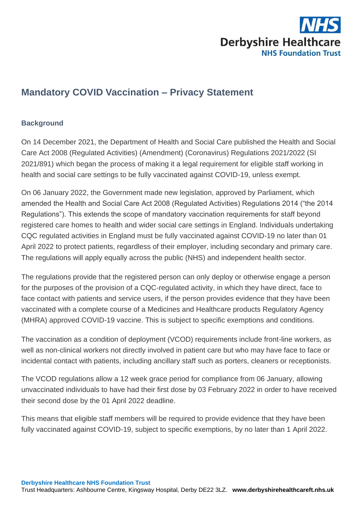

## **Mandatory COVID Vaccination – Privacy Statement**

## **Background**

On 14 December 2021, the Department of Health and Social Care published the Health and Social Care Act 2008 (Regulated Activities) (Amendment) (Coronavirus) Regulations 2021/2022 (SI 2021/891) which began the process of making it a legal requirement for eligible staff working in health and social care settings to be fully vaccinated against COVID-19, unless exempt.

On 06 January 2022, the Government made new legislation, approved by Parliament, which amended the Health and Social Care Act 2008 (Regulated Activities) Regulations 2014 ("the 2014 Regulations"). This extends the scope of mandatory vaccination requirements for staff beyond registered care homes to health and wider social care settings in England. Individuals undertaking CQC regulated activities in England must be fully vaccinated against COVID-19 no later than 01 April 2022 to protect patients, regardless of their employer, including secondary and primary care. The regulations will apply equally across the public (NHS) and independent health sector.

The regulations provide that the registered person can only deploy or otherwise engage a person for the purposes of the provision of a CQC-regulated activity, in which they have direct, face to face contact with patients and service users, if the person provides evidence that they have been vaccinated with a complete course of a Medicines and Healthcare products Regulatory Agency (MHRA) approved COVID-19 vaccine. This is subject to specific exemptions and conditions.

The vaccination as a condition of deployment (VCOD) requirements include front-line workers, as well as non-clinical workers not directly involved in patient care but who may have face to face or incidental contact with patients, including ancillary staff such as porters, cleaners or receptionists.

The VCOD regulations allow a 12 week grace period for compliance from 06 January, allowing unvaccinated individuals to have had their first dose by 03 February 2022 in order to have received their second dose by the 01 April 2022 deadline.

This means that eligible staff members will be required to provide evidence that they have been fully vaccinated against COVID-19, subject to specific exemptions, by no later than 1 April 2022.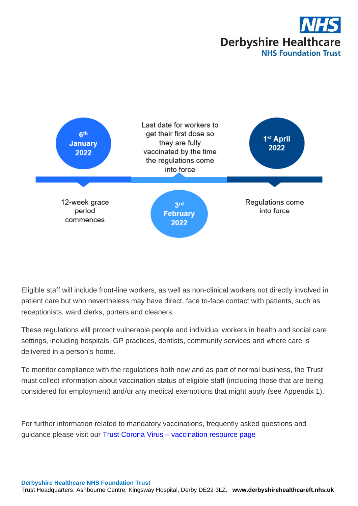



Eligible staff will include front-line workers, as well as non-clinical workers not directly involved in patient care but who nevertheless may have direct, face to-face contact with patients, such as receptionists, ward clerks, porters and cleaners.

These regulations will protect vulnerable people and individual workers in health and social care settings, including hospitals, GP practices, dentists, community services and where care is delivered in a person's home.

To monitor compliance with the regulations both now and as part of normal business, the Trust must collect information about vaccination status of eligible staff (including those that are being considered for employment) and/or any medical exemptions that might apply (see Appendix 1).

For further information related to mandatory vaccinations, frequently asked questions and guidance please visit our **Trust Corona Virus - [vaccination resource page](https://focus.derbyshirehealthcareft.nhs.uk/clinical/coronavirus-resource-page-staff/vaccination)**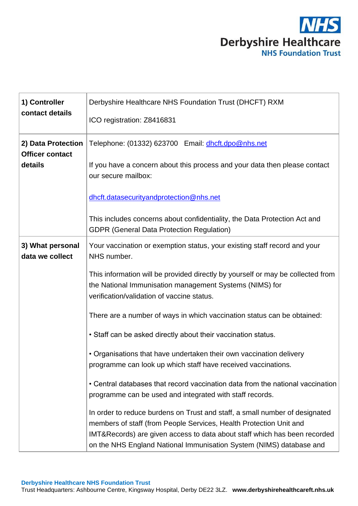

| 1) Controller<br>contact details                        | Derbyshire Healthcare NHS Foundation Trust (DHCFT) RXM<br>ICO registration: Z8416831                                                                                                                                                                                                                  |
|---------------------------------------------------------|-------------------------------------------------------------------------------------------------------------------------------------------------------------------------------------------------------------------------------------------------------------------------------------------------------|
| 2) Data Protection<br><b>Officer contact</b><br>details | Telephone: (01332) 623700 Email: dhcft.dpo@nhs.net<br>If you have a concern about this process and your data then please contact<br>our secure mailbox:                                                                                                                                               |
|                                                         | dhcft.datasecurityandprotection@nhs.net                                                                                                                                                                                                                                                               |
|                                                         | This includes concerns about confidentiality, the Data Protection Act and<br><b>GDPR (General Data Protection Regulation)</b>                                                                                                                                                                         |
| 3) What personal<br>data we collect                     | Your vaccination or exemption status, your existing staff record and your<br>NHS number.                                                                                                                                                                                                              |
|                                                         | This information will be provided directly by yourself or may be collected from<br>the National Immunisation management Systems (NIMS) for<br>verification/validation of vaccine status.                                                                                                              |
|                                                         | There are a number of ways in which vaccination status can be obtained:                                                                                                                                                                                                                               |
|                                                         | • Staff can be asked directly about their vaccination status.                                                                                                                                                                                                                                         |
|                                                         | • Organisations that have undertaken their own vaccination delivery<br>programme can look up which staff have received vaccinations.                                                                                                                                                                  |
|                                                         | • Central databases that record vaccination data from the national vaccination<br>programme can be used and integrated with staff records.                                                                                                                                                            |
|                                                         | In order to reduce burdens on Trust and staff, a small number of designated<br>members of staff (from People Services, Health Protection Unit and<br>IMT&Records) are given access to data about staff which has been recorded<br>on the NHS England National Immunisation System (NIMS) database and |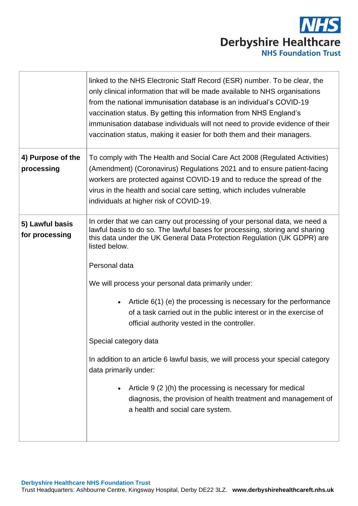

|                                   | linked to the NHS Electronic Staff Record (ESR) number. To be clear, the<br>only clinical information that will be made available to NHS organisations<br>from the national immunisation database is an individual's COVID-19<br>vaccination status. By getting this information from NHS England's<br>immunisation database individuals will not need to provide evidence of their<br>vaccination status, making it easier for both them and their managers.                                                                                                                                                                                                                                                                                                                                                                                            |
|-----------------------------------|----------------------------------------------------------------------------------------------------------------------------------------------------------------------------------------------------------------------------------------------------------------------------------------------------------------------------------------------------------------------------------------------------------------------------------------------------------------------------------------------------------------------------------------------------------------------------------------------------------------------------------------------------------------------------------------------------------------------------------------------------------------------------------------------------------------------------------------------------------|
| 4) Purpose of the<br>processing   | To comply with The Health and Social Care Act 2008 (Regulated Activities)<br>(Amendment) (Coronavirus) Regulations 2021 and to ensure patient-facing<br>workers are protected against COVID-19 and to reduce the spread of the<br>virus in the health and social care setting, which includes vulnerable<br>individuals at higher risk of COVID-19.                                                                                                                                                                                                                                                                                                                                                                                                                                                                                                      |
| 5) Lawful basis<br>for processing | In order that we can carry out processing of your personal data, we need a<br>lawful basis to do so. The lawful bases for processing, storing and sharing<br>this data under the UK General Data Protection Regulation (UK GDPR) are<br>listed below.<br>Personal data<br>We will process your personal data primarily under:<br>Article 6(1) (e) the processing is necessary for the performance<br>$\bullet$<br>of a task carried out in the public interest or in the exercise of<br>official authority vested in the controller.<br>Special category data<br>In addition to an article 6 lawful basis, we will process your special category<br>data primarily under:<br>Article 9 (2)(h) the processing is necessary for medical<br>$\bullet$<br>diagnosis, the provision of health treatment and management of<br>a health and social care system. |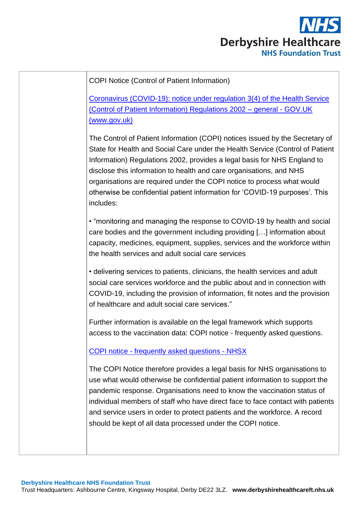

| <b>COPI Notice (Control of Patient Information)</b>                                                                                                                                                                                                                                                                                                                                                                                                                                    |
|----------------------------------------------------------------------------------------------------------------------------------------------------------------------------------------------------------------------------------------------------------------------------------------------------------------------------------------------------------------------------------------------------------------------------------------------------------------------------------------|
| Coronavirus (COVID-19): notice under regulation 3(4) of the Health Service<br>(Control of Patient Information) Regulations 2002 - general - GOV.UK<br>(www.gov.uk)                                                                                                                                                                                                                                                                                                                     |
| The Control of Patient Information (COPI) notices issued by the Secretary of<br>State for Health and Social Care under the Health Service (Control of Patient<br>Information) Regulations 2002, provides a legal basis for NHS England to<br>disclose this information to health and care organisations, and NHS<br>organisations are required under the COPI notice to process what would<br>otherwise be confidential patient information for 'COVID-19 purposes'. This<br>includes: |
| • "monitoring and managing the response to COVID-19 by health and social<br>care bodies and the government including providing [] information about<br>capacity, medicines, equipment, supplies, services and the workforce within<br>the health services and adult social care services                                                                                                                                                                                               |
| • delivering services to patients, clinicians, the health services and adult<br>social care services workforce and the public about and in connection with<br>COVID-19, including the provision of information, fit notes and the provision<br>of healthcare and adult social care services."                                                                                                                                                                                          |
| Further information is available on the legal framework which supports<br>access to the vaccination data: COPI notice - frequently asked questions.                                                                                                                                                                                                                                                                                                                                    |
| <b>COPI notice - frequently asked questions - NHSX</b>                                                                                                                                                                                                                                                                                                                                                                                                                                 |
| The COPI Notice therefore provides a legal basis for NHS organisations to<br>use what would otherwise be confidential patient information to support the<br>pandemic response. Organisations need to know the vaccination status of<br>individual members of staff who have direct face to face contact with patients<br>and service users in order to protect patients and the workforce. A record<br>should be kept of all data processed under the COPI notice.                     |
|                                                                                                                                                                                                                                                                                                                                                                                                                                                                                        |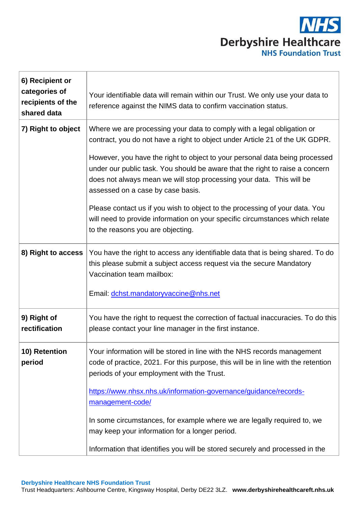

| 6) Recipient or<br>categories of<br>recipients of the<br>shared data | Your identifiable data will remain within our Trust. We only use your data to<br>reference against the NIMS data to confirm vaccination status.                                                                                                                          |
|----------------------------------------------------------------------|--------------------------------------------------------------------------------------------------------------------------------------------------------------------------------------------------------------------------------------------------------------------------|
| 7) Right to object                                                   | Where we are processing your data to comply with a legal obligation or<br>contract, you do not have a right to object under Article 21 of the UK GDPR.                                                                                                                   |
|                                                                      | However, you have the right to object to your personal data being processed<br>under our public task. You should be aware that the right to raise a concern<br>does not always mean we will stop processing your data. This will be<br>assessed on a case by case basis. |
|                                                                      | Please contact us if you wish to object to the processing of your data. You<br>will need to provide information on your specific circumstances which relate<br>to the reasons you are objecting.                                                                         |
| 8) Right to access                                                   | You have the right to access any identifiable data that is being shared. To do<br>this please submit a subject access request via the secure Mandatory<br>Vaccination team mailbox:                                                                                      |
|                                                                      | Email: dchst.mandatoryvaccine@nhs.net                                                                                                                                                                                                                                    |
| 9) Right of<br>rectification                                         | You have the right to request the correction of factual inaccuracies. To do this<br>please contact your line manager in the first instance.                                                                                                                              |
| 10) Retention<br>period                                              | Your information will be stored in line with the NHS records management<br>code of practice, 2021. For this purpose, this will be in line with the retention<br>periods of your employment with the Trust.                                                               |
|                                                                      | https://www.nhsx.nhs.uk/information-governance/guidance/records-<br>management-code/                                                                                                                                                                                     |
|                                                                      | In some circumstances, for example where we are legally required to, we<br>may keep your information for a longer period.                                                                                                                                                |
|                                                                      | Information that identifies you will be stored securely and processed in the                                                                                                                                                                                             |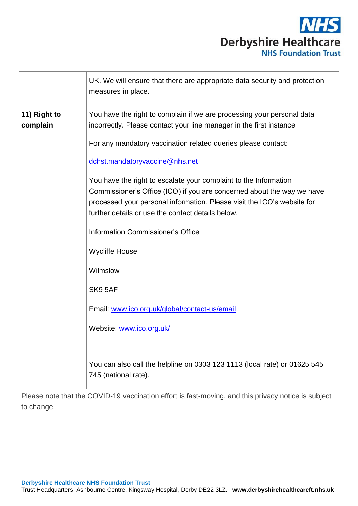

|                          | UK. We will ensure that there are appropriate data security and protection<br>measures in place.                                                                                                                                                                           |
|--------------------------|----------------------------------------------------------------------------------------------------------------------------------------------------------------------------------------------------------------------------------------------------------------------------|
| 11) Right to<br>complain | You have the right to complain if we are processing your personal data<br>incorrectly. Please contact your line manager in the first instance                                                                                                                              |
|                          | For any mandatory vaccination related queries please contact:                                                                                                                                                                                                              |
|                          | dchst.mandatoryvaccine@nhs.net                                                                                                                                                                                                                                             |
|                          | You have the right to escalate your complaint to the Information<br>Commissioner's Office (ICO) if you are concerned about the way we have<br>processed your personal information. Please visit the ICO's website for<br>further details or use the contact details below. |
|                          | <b>Information Commissioner's Office</b>                                                                                                                                                                                                                                   |
|                          | <b>Wycliffe House</b>                                                                                                                                                                                                                                                      |
|                          | Wilmslow                                                                                                                                                                                                                                                                   |
|                          | SK9 5AF                                                                                                                                                                                                                                                                    |
|                          | Email: www.ico.org.uk/global/contact-us/email                                                                                                                                                                                                                              |
|                          | Website: www.ico.org.uk/                                                                                                                                                                                                                                                   |
|                          | You can also call the helpline on 0303 123 1113 (local rate) or 01625 545<br>745 (national rate).                                                                                                                                                                          |

Please note that the COVID-19 vaccination effort is fast-moving, and this privacy notice is subject to change.